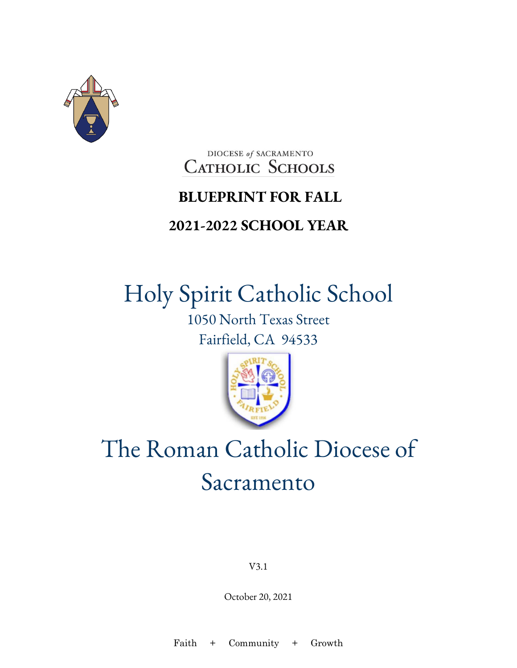

### DIOCESE of SACRAMENTO **CATHOLIC SCHOOLS**

### **BLUEPRINT FOR FALL**

### **2021-2022 SCHOOL YEAR**

# Holy Spirit Catholic School

1050 North Texas Street Fairfield, CA 94533



# The Roman Catholic Diocese of Sacramento

V3.1

October 20, 2021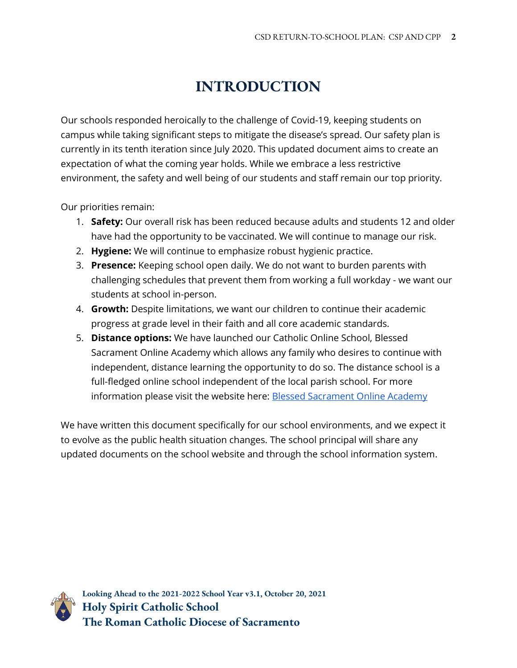### **INTRODUCTION**

Our schools responded heroically to the challenge of Covid-19, keeping students on campus while taking significant steps to mitigate the disease's spread. Our safety plan is currently in its tenth iteration since July 2020. This updated document aims to create an expectation of what the coming year holds. While we embrace a less restrictive environment, the safety and well being of our students and staff remain our top priority.

Our priorities remain:

- 1. **Safety:** Our overall risk has been reduced because adults and students 12 and older have had the opportunity to be vaccinated. We will continue to manage our risk.
- 2. **Hygiene:** We will continue to emphasize robust hygienic practice.
- 3. **Presence:** Keeping school open daily. We do not want to burden parents with challenging schedules that prevent them from working a full workday - we want our students at school in-person.
- 4. **Growth:** Despite limitations, we want our children to continue their academic progress at grade level in their faith and all core academic standards.
- 5. **Distance options:** We have launched our Catholic Online School, Blessed Sacrament Online Academy which allows any family who desires to continue with independent, distance learning the opportunity to do so. The distance school is a full-fledged online school independent of the local parish school. For more information please visit the website here: [Blessed Sacrament Online Academy](https://www.scd.org/schools/online)

We have written this document specifically for our school environments, and we expect it to evolve as the public health situation changes. The school principal will share any updated documents on the school website and through the school information system.

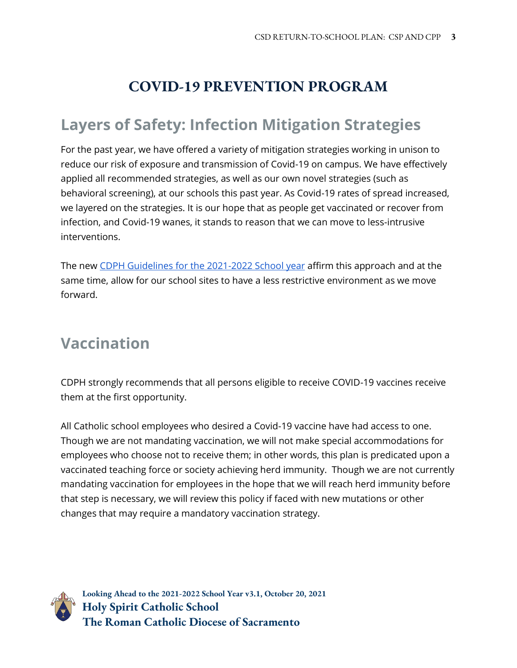### **COVID-19 PREVENTION PROGRAM**

# **Layers of Safety: Infection Mitigation Strategies**

For the past year, we have offered a variety of mitigation strategies working in unison to reduce our risk of exposure and transmission of Covid-19 on campus. We have effectively applied all recommended strategies, as well as our own novel strategies (such as behavioral screening), at our schools this past year. As Covid-19 rates of spread increased, we layered on the strategies. It is our hope that as people get vaccinated or recover from infection, and Covid-19 wanes, it stands to reason that we can move to less-intrusive interventions.

The new [CDPH Guidelines for the 2021-2022 School](https://www.cdph.ca.gov/Programs/CID/DCDC/Pages/COVID-19/K-12-Guidance-2021-22-School-Year.aspx) year affirm this approach and at the same time, allow for our school sites to have a less restrictive environment as we move forward.

# **Vaccination**

CDPH strongly recommends that all persons eligible to receive COVID-19 vaccines receive them at the first opportunity.

All Catholic school employees who desired a Covid-19 vaccine have had access to one. Though we are not mandating vaccination, we will not make special accommodations for employees who choose not to receive them; in other words, this plan is predicated upon a vaccinated teaching force or society achieving herd immunity. Though we are not currently mandating vaccination for employees in the hope that we will reach herd immunity before that step is necessary, we will review this policy if faced with new mutations or other changes that may require a mandatory vaccination strategy.

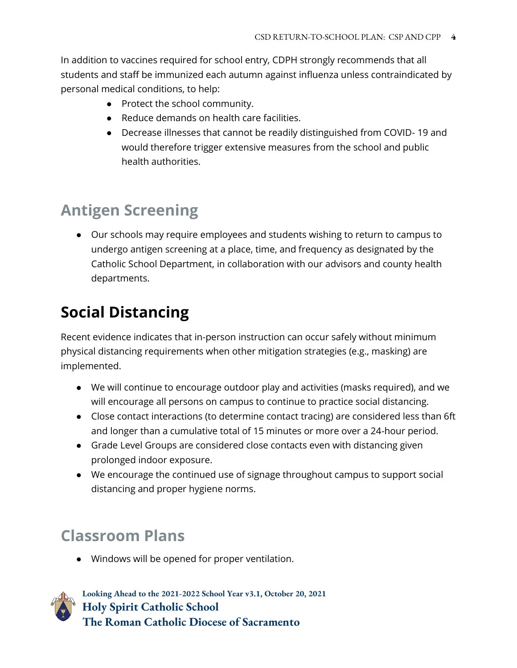In addition to vaccines required for school entry, CDPH strongly recommends that all students and staff be immunized each autumn against influenza unless contraindicated by personal medical conditions, to help:

- Protect the school community.
- Reduce demands on health care facilities.
- Decrease illnesses that cannot be readily distinguished from COVID- 19 and would therefore trigger extensive measures from the school and public health authorities.

# **Antigen Screening**

● Our schools may require employees and students wishing to return to campus to undergo antigen screening at a place, time, and frequency as designated by the Catholic School Department, in collaboration with our advisors and county health departments.

# **Social Distancing**

Recent evidence indicates that in-person instruction can occur safely without minimum physical distancing requirements when other mitigation strategies (e.g., masking) are implemented.

- We will continue to encourage outdoor play and activities (masks required), and we will encourage all persons on campus to continue to practice social distancing.
- Close contact interactions (to determine contact tracing) are considered less than 6ft and longer than a cumulative total of 15 minutes or more over a 24-hour period.
- Grade Level Groups are considered close contacts even with distancing given prolonged indoor exposure.
- We encourage the continued use of signage throughout campus to support social distancing and proper hygiene norms.

# **Classroom Plans**

● Windows will be opened for proper ventilation.

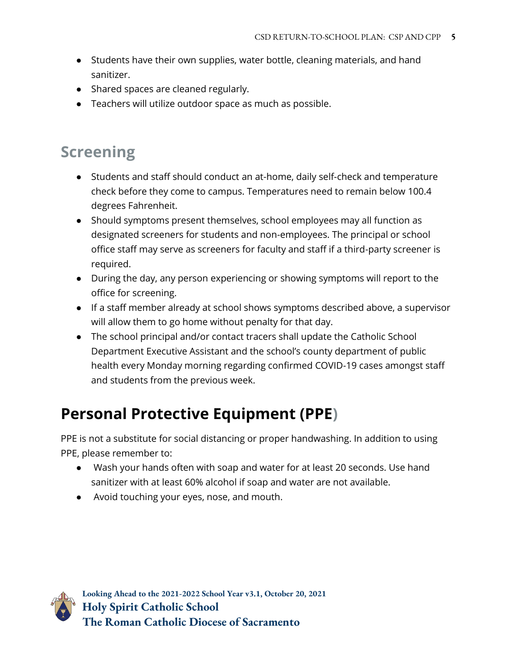- Students have their own supplies, water bottle, cleaning materials, and hand sanitizer.
- Shared spaces are cleaned regularly.
- Teachers will utilize outdoor space as much as possible.

### **Screening**

- Students and staff should conduct an at-home, daily self-check and temperature check before they come to campus. Temperatures need to remain below 100.4 degrees Fahrenheit.
- Should symptoms present themselves, school employees may all function as designated screeners for students and non-employees. The principal or school office staff may serve as screeners for faculty and staff if a third-party screener is required.
- During the day, any person experiencing or showing symptoms will report to the office for screening.
- If a staff member already at school shows symptoms described above, a supervisor will allow them to go home without penalty for that day.
- The school principal and/or contact tracers shall update the Catholic School Department Executive Assistant and the school's county department of public health every Monday morning regarding confirmed COVID-19 cases amongst staff and students from the previous week.

# **Personal Protective Equipment (PPE)**

PPE is not a substitute for social distancing or proper handwashing. In addition to using PPE, please remember to:

- Wash your hands often with soap and water for at least 20 seconds. Use hand sanitizer with at least 60% alcohol if soap and water are not available.
- Avoid touching your eyes, nose, and mouth.

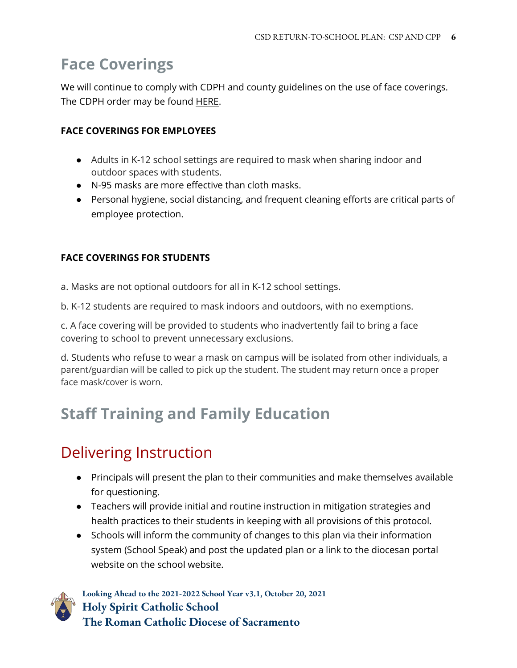### **Face Coverings**

We will continue to comply with CDPH and county guidelines on the use of face coverings. The CDPH order may be found [HERE.](https://www.cdph.ca.gov/Programs/CID/DCDC/Pages/COVID-19/Requirement-for-Universal-Masking-Indoors-at-K-12-Schools.aspx)

#### **FACE COVERINGS FOR EMPLOYEES**

- Adults in K-12 school settings are required to mask when sharing indoor and outdoor spaces with students.
- N-95 masks are more effective than cloth masks.
- Personal hygiene, social distancing, and frequent cleaning efforts are critical parts of employee protection.

#### **FACE COVERINGS FOR STUDENTS**

a. Masks are not optional outdoors for all in K-12 school settings.

b. K-12 students are required to mask indoors and outdoors, with no exemptions.

c. A face covering will be provided to students who inadvertently fail to bring a face covering to school to prevent unnecessary exclusions.

d. Students who refuse to wear a mask on campus will be isolated from other individuals, a parent/guardian will be called to pick up the student. The student may return once a proper face mask/cover is worn.

### **Staff Training and Family Education**

### Delivering Instruction

- Principals will present the plan to their communities and make themselves available for questioning.
- Teachers will provide initial and routine instruction in mitigation strategies and health practices to their students in keeping with all provisions of this protocol.
- Schools will inform the community of changes to this plan via their information system (School Speak) and post the updated plan or a link to the diocesan portal website on the school website.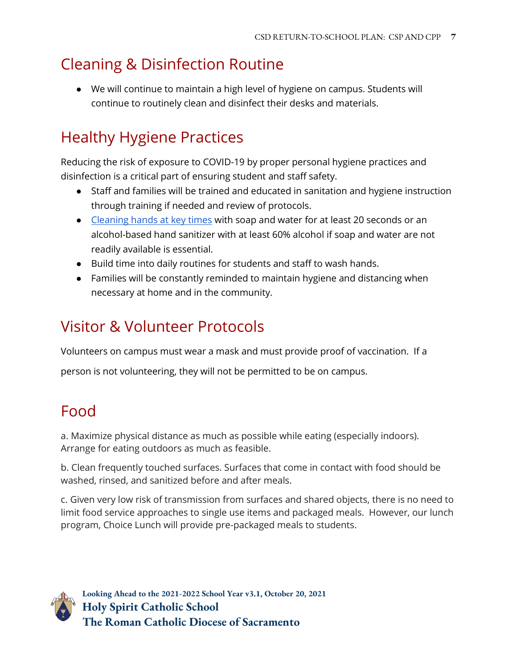## Cleaning & Disinfection Routine

● We will continue to maintain a high level of hygiene on campus. Students will continue to routinely clean and disinfect their desks and materials.

# Healthy Hygiene Practices

Reducing the risk of exposure to COVID-19 by proper personal hygiene practices and disinfection is a critical part of ensuring student and staff safety.

- Staff and families will be trained and educated in sanitation and hygiene instruction through training if needed and review of protocols.
- [Cleaning hands at key times](https://www.cdc.gov/handwashing/when-how-handwashing.html) with soap and water for at least 20 seconds or an alcohol-based hand sanitizer with at least 60% alcohol if soap and water are not readily available is essential.
- Build time into daily routines for students and staff to wash hands.
- Families will be constantly reminded to maintain hygiene and distancing when necessary at home and in the community.

# Visitor & Volunteer Protocols

Volunteers on campus must wear a mask and must provide proof of vaccination. If a

person is not volunteering, they will not be permitted to be on campus.

### Food

a. Maximize physical distance as much as possible while eating (especially indoors). Arrange for eating outdoors as much as feasible.

b. Clean frequently touched surfaces. Surfaces that come in contact with food should be washed, rinsed, and sanitized before and after meals.

c. Given very low risk of transmission from surfaces and shared objects, there is no need to limit food service approaches to single use items and packaged meals. However, our lunch program, Choice Lunch will provide pre-packaged meals to students.

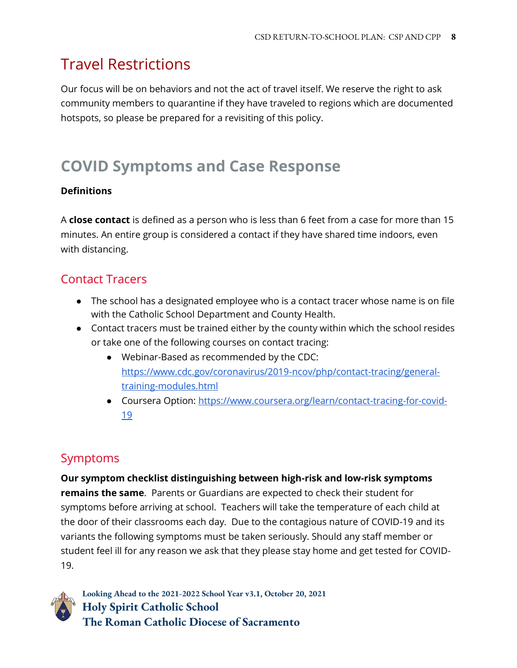# Travel Restrictions

Our focus will be on behaviors and not the act of travel itself. We reserve the right to ask community members to quarantine if they have traveled to regions which are documented hotspots, so please be prepared for a revisiting of this policy.

# **COVID Symptoms and Case Response**

#### **Definitions**

A **close contact** is defined as a person who is less than 6 feet from a case for more than 15 minutes. An entire group is considered a contact if they have shared time indoors, even with distancing.

### Contact Tracers

- The school has a designated employee who is a contact tracer whose name is on file with the Catholic School Department and County Health.
- Contact tracers must be trained either by the county within which the school resides or take one of the following courses on contact tracing:
	- Webinar-Based as recommended by the CDC: [https://www.cdc.gov/coronavirus/2019-ncov/php/contact-tracing/general](https://www.cdc.gov/coronavirus/2019-ncov/php/contact-tracing/general-training-modules.html)[training-modules.html](https://www.cdc.gov/coronavirus/2019-ncov/php/contact-tracing/general-training-modules.html)
	- Coursera Option: [https://www.coursera.org/learn/contact-tracing-for-covid-](https://www.coursera.org/learn/contact-tracing-for-covid-19)[19](https://www.coursera.org/learn/contact-tracing-for-covid-19)

### Symptoms

**Our symptom checklist distinguishing between high-risk and low-risk symptoms remains the same**. Parents or Guardians are expected to check their student for symptoms before arriving at school. Teachers will take the temperature of each child at the door of their classrooms each day.Due to the contagious nature of COVID-19 and its variants the following symptoms must be taken seriously. Should any staff member or student feel ill for any reason we ask that they please stay home and get tested for COVID-19.

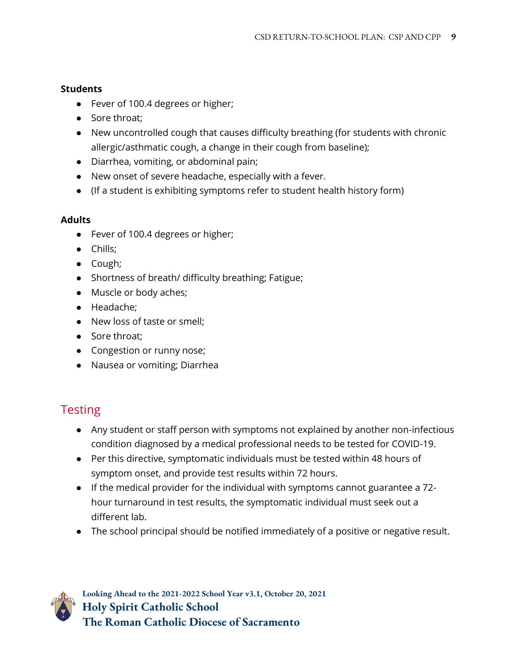#### **Students**

- Fever of 100.4 degrees or higher;
- Sore throat:
- New uncontrolled cough that causes difficulty breathing (for students with chronic allergic/asthmatic cough, a change in their cough from baseline);
- Diarrhea, vomiting, or abdominal pain;
- New onset of severe headache, especially with a fever.
- (If a student is exhibiting symptoms refer to student health history form)

#### **Adults**

- Fever of 100.4 degrees or higher;
- Chills;
- Cough;
- Shortness of breath/ difficulty breathing; Fatigue;
- Muscle or body aches;
- Headache;
- New loss of taste or smell;
- Sore throat;
- Congestion or runny nose;
- Nausea or vomiting; Diarrhea

### **Testing**

- Any student or staff person with symptoms not explained by another non-infectious condition diagnosed by a medical professional needs to be tested for COVID-19.
- Per this directive, symptomatic individuals must be tested within 48 hours of symptom onset, and provide test results within 72 hours.
- If the medical provider for the individual with symptoms cannot guarantee a 72 hour turnaround in test results, the symptomatic individual must seek out a different lab.
- The school principal should be notified immediately of a positive or negative result.

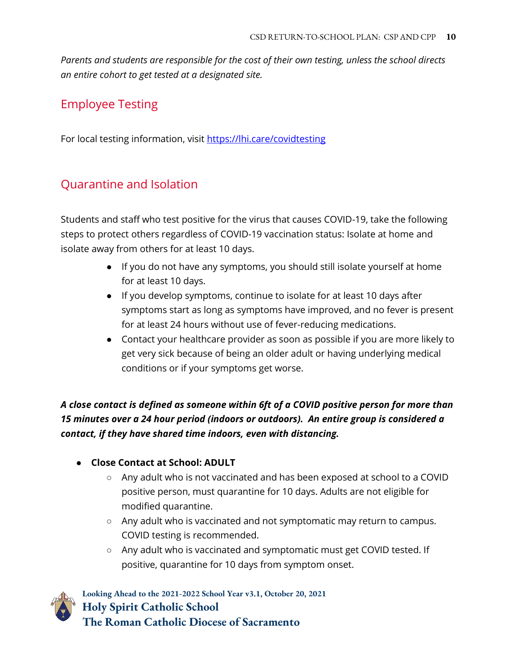*Parents and students are responsible for the cost of their own testing, unless the school directs an entire cohort to get tested at a designated site.* 

### Employee Testing

For local testing information, visit https://lhi.care/covidtesting

### Quarantine and Isolation

Students and staff who test positive for the virus that causes COVID-19, take the following steps to protect others regardless of COVID-19 vaccination status: [Isolate at home](https://www.cdc.gov/coronavirus/2019-ncov/if-you-are-sick/isolation.html) and isolate away from others for at least 10 days.

- If you do not have any symptoms, you should still [isolate yourself at](https://www.cdc.gov/coronavirus/2019-ncov/if-you-are-sick/isolation.html) [home](https://www.cdc.gov/coronavirus/2019-ncov/if-you-are-sick/isolation.html) for at least 10 days.
- If you develop symptoms, continue to isolate for at least 10 days after symptoms start as long as symptoms have improved, and no fever is present for at least 24 hours without use of fever-reducing medications.
- Contact your healthcare provider as soon as possible if you are more likely to get very sick because of being an older adult or having [underlying medical](https://www.cdc.gov/coronavirus/2019-ncov/need-extra-precautions/people-with-medical-conditions.html)  [conditions](https://www.cdc.gov/coronavirus/2019-ncov/need-extra-precautions/people-with-medical-conditions.html) or if your symptoms get worse.

*A close contact is defined as someone within 6ft of a COVID positive person for more than 15 minutes over a 24 hour period (indoors or outdoors). An entire group is considered a contact, if they have shared time indoors, even with distancing.*

#### ● **Close Contact at School: ADULT**

- Any adult who is not vaccinated and has been exposed at school to a COVID positive person, must quarantine for 10 days. Adults are not eligible for modified quarantine.
- Any adult who is vaccinated and not symptomatic may return to campus. COVID testing is recommended.
- Any adult who is vaccinated and symptomatic must get COVID tested. If positive, quarantine for 10 days from symptom onset.

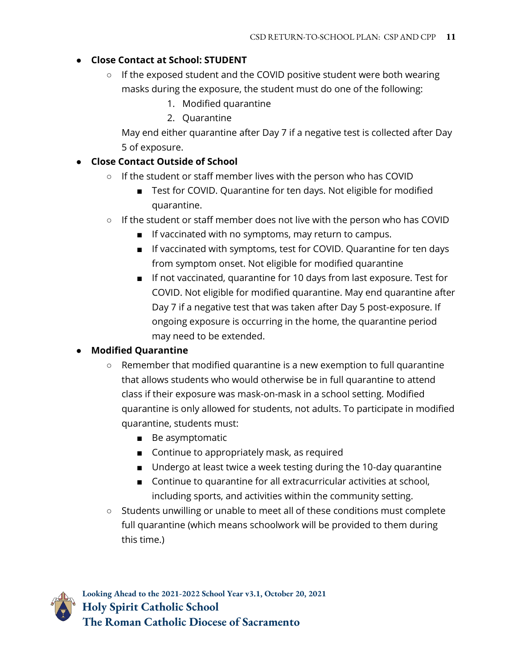#### ● **Close Contact at School: STUDENT**

- $\circ$  If the exposed student and the COVID positive student were both wearing masks during the exposure, the student must do one of the following:
	- 1. Modified quarantine
	- 2. Quarantine

May end either quarantine after Day 7 if a negative test is collected after Day 5 of exposure.

#### ● **Close Contact Outside of School**

- If the student or staff member lives with the person who has COVID
	- Test for COVID. Quarantine for ten days. Not eligible for modified quarantine.
- If the student or staff member does not live with the person who has COVID
	- If vaccinated with no symptoms, may return to campus.
	- If vaccinated with symptoms, test for COVID. Quarantine for ten days from symptom onset. Not eligible for modified quarantine
	- If not vaccinated, quarantine for 10 days from last exposure. Test for COVID. Not eligible for modified quarantine. May end quarantine after Day 7 if a negative test that was taken after Day 5 post-exposure. If ongoing exposure is occurring in the home, the quarantine period may need to be extended.

#### ● **Modified Quarantine**

- $\circ$  Remember that modified quarantine is a new exemption to full quarantine that allows students who would otherwise be in full quarantine to attend class if their exposure was mask-on-mask in a school setting. Modified quarantine is only allowed for students, not adults. To participate in modified quarantine, students must:
	- Be asymptomatic
	- Continue to appropriately mask, as required
	- Undergo at least twice a week testing during the 10-day quarantine
	- Continue to quarantine for all extracurricular activities at school, including sports, and activities within the community setting.
- Students unwilling or unable to meet all of these conditions must complete full quarantine (which means schoolwork will be provided to them during this time.)

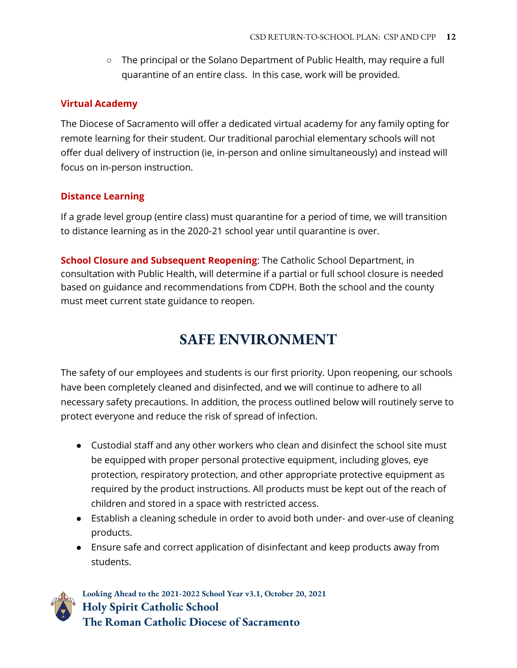○ The principal or the Solano Department of Public Health, may require a full quarantine of an entire class. In this case, work will be provided.

#### **Virtual Academy**

The Diocese of Sacramento will offer a dedicated virtual academy for any family opting for remote learning for their student. Our traditional parochial elementary schools will not offer dual delivery of instruction (ie, in-person and online simultaneously) and instead will focus on in-person instruction.

#### **Distance Learning**

If a grade level group (entire class) must quarantine for a period of time, we will transition to distance learning as in the 2020-21 school year until quarantine is over.

**School Closure and Subsequent Reopening**: The Catholic School Department, in consultation with Public Health, will determine if a partial or full school closure is needed based on guidance and recommendations from CDPH. Both the school and the county must meet current state guidance to reopen.

### **SAFE ENVIRONMENT**

The safety of our employees and students is our first priority. Upon reopening, our schools have been completely cleaned and disinfected, and we will continue to adhere to all necessary safety precautions. In addition, the process outlined below will routinely serve to protect everyone and reduce the risk of spread of infection.

- Custodial staff and any other workers who clean and disinfect the school site must be equipped with proper personal protective equipment, including gloves, eye protection, respiratory protection, and other appropriate protective equipment as required by the product instructions. All products must be kept out of the reach of children and stored in a space with restricted access.
- Establish a cleaning schedule in order to avoid both under- and over-use of cleaning products.
- Ensure safe and correct application of disinfectant and keep products away from students.

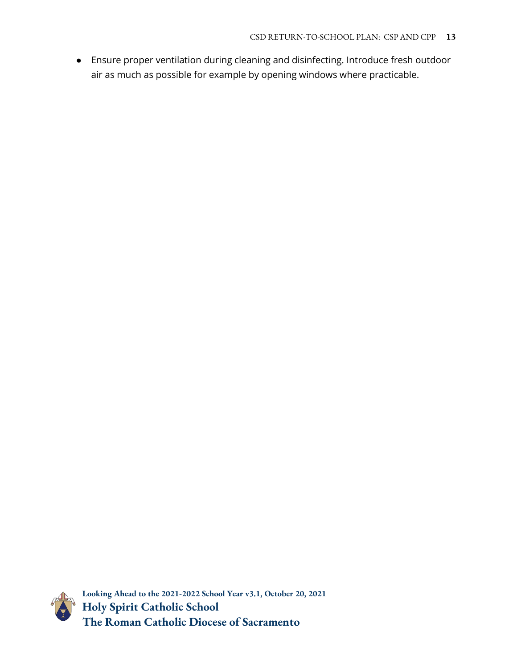● Ensure proper ventilation during cleaning and disinfecting. Introduce fresh outdoor air as much as possible for example by opening windows where practicable.

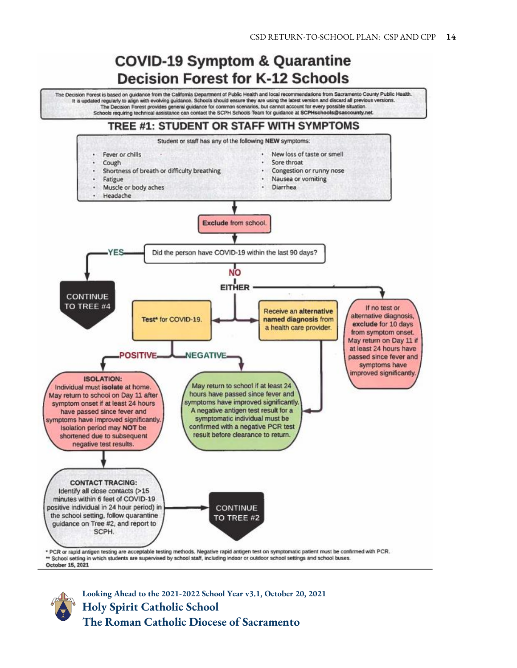### **COVID-19 Symptom & Quarantine Decision Forest for K-12 Schools**

The Decision Forest is based on guidance from the California Department of Public Health and local recommendations from Sacramento County Public Health. It is updated regularly to align with evolving guidance. Schools should ensure they are using the latest version and discard all previous versions. The Decision Forest provides general guidance for common scenarios, but cannot account for every possible situation. Schools requiring technical assistance can contact the SCPH Schools Team for guidance at SCPHschools@saccounty.net.

#### TREE #1: STUDENT OR STAFF WITH SYMPTOMS



\*\* School setting in which students are supervised by school staff, including indoor or outdoor school settings and school buses. October 15, 2021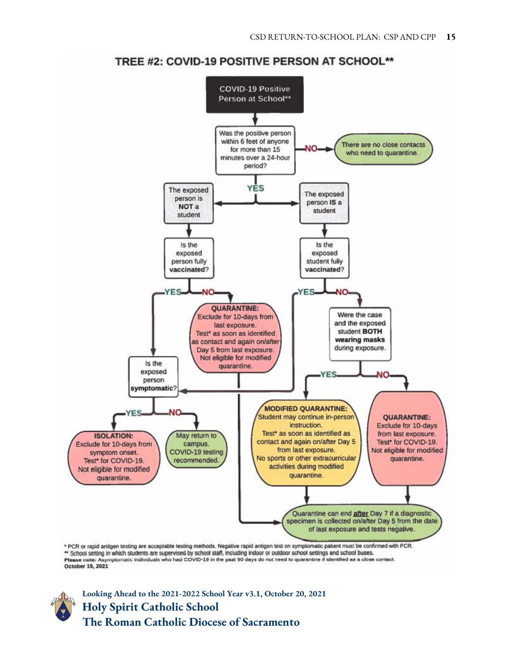

TREE #2: COVID-19 POSITIVE PERSON AT SCHOOL\*\*

Figure is a substitution of the supervised by school staff, including induct or outdoor school settings and school buses.<br>Please note: Asymptomatic individuals who had COVID-19 in the past 90 days do not need to quarantine October 15, 2021

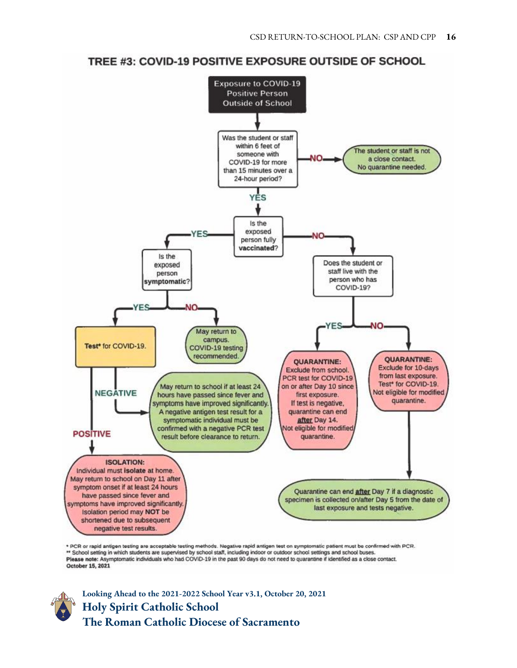#### TREE #3: COVID-19 POSITIVE EXPOSURE OUTSIDE OF SCHOOL



\* PCR or rapid antigen testing are acceptable testing methods. Negative rapid antigen test on symptomatic patient must be confirmed with PCR. \*\* School setting in which students are supervised by school staff, including indoor or outdoor school settings and school buses. Please note: Asymptomatic individuals who had COVID-19 in the past 90 days do not need to quarantine if identified as a close contact. October 15, 2021